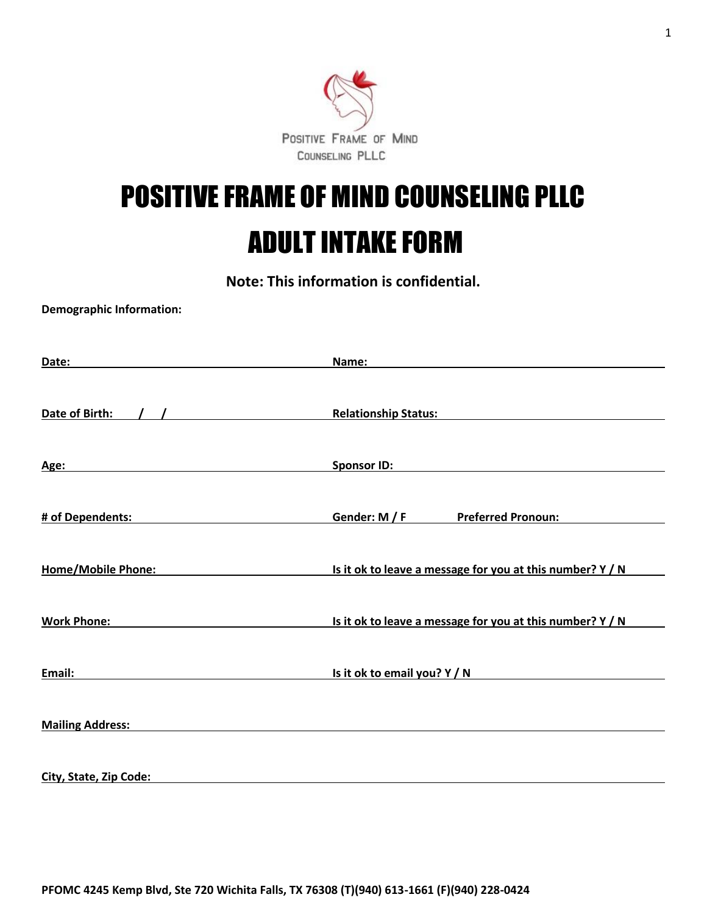

# POSITIVE FRAME OF MIND COUNSELING PLLC ADULT INTAKE FORM

**Note: This information is confidential.**

**Demographic Information:** 

| Date:                     | Name:                                                     |
|---------------------------|-----------------------------------------------------------|
| Date of Birth:            | <b>Relationship Status:</b>                               |
| Age:                      | <b>Sponsor ID:</b>                                        |
| # of Dependents:          | Gender: M / F<br><b>Preferred Pronoun:</b>                |
| <b>Home/Mobile Phone:</b> | Is it ok to leave a message for you at this number? Y / N |
| <b>Work Phone:</b>        | Is it ok to leave a message for you at this number? Y / N |
| Email:                    | Is it ok to email you? Y / N                              |
| <b>Mailing Address:</b>   |                                                           |
| City, State, Zip Code:    |                                                           |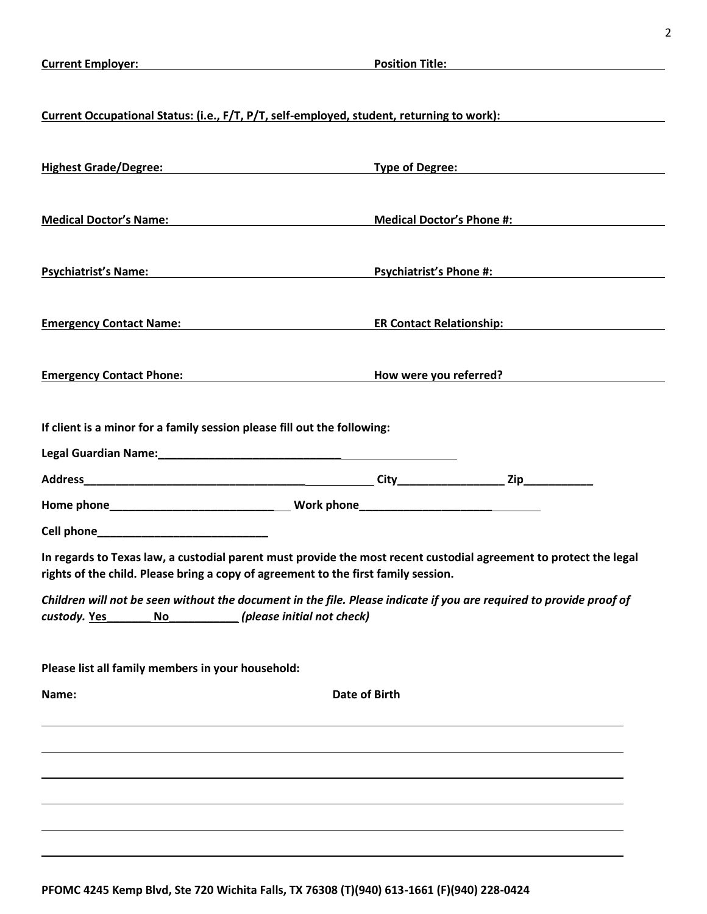| Current Occupational Status: (i.e., F/T, P/T, self-employed, student, returning to work):                                                                                                                                           |                            |                                                                                                                                                                                                                                    |
|-------------------------------------------------------------------------------------------------------------------------------------------------------------------------------------------------------------------------------------|----------------------------|------------------------------------------------------------------------------------------------------------------------------------------------------------------------------------------------------------------------------------|
| <u>Highest Grade/Degree:</u> National Property of Degree Manual Property of Degree:                                                                                                                                                 |                            |                                                                                                                                                                                                                                    |
| Medical Doctor's Name: Manual Property of the Medical Doctor's Name:                                                                                                                                                                |                            | <b>Medical Doctor's Phone #:</b>                                                                                                                                                                                                   |
| Psychiatrist's Name: Name and Allen and Allen and Allen and Allen and Allen and Allen and Allen and Allen and                                                                                                                       |                            | <b>Psychiatrist's Phone #:</b> Note that the system of the system of the system of the system of the system of the system of the system of the system of the system of the system of the system of the system of the system of the |
| <b>Emergency Contact Name:</b> Name and Name and Name and Name and Name and Name and Name and Name and Name and Name and N                                                                                                          |                            | <b>ER Contact Relationship:</b>                                                                                                                                                                                                    |
| <b>Emergency Contact Phone:</b> Note that the set of the set of the set of the set of the set of the set of the set of the set of the set of the set of the set of the set of the set of the set of the set of the set of the set o |                            | How were you referred?                                                                                                                                                                                                             |
| If client is a minor for a family session please fill out the following:                                                                                                                                                            |                            |                                                                                                                                                                                                                                    |
|                                                                                                                                                                                                                                     |                            |                                                                                                                                                                                                                                    |
|                                                                                                                                                                                                                                     |                            |                                                                                                                                                                                                                                    |
| In regards to Texas law, a custodial parent must provide the most recent custodial agreement to protect the legal<br>rights of the child. Please bring a copy of agreement to the first family session.                             |                            |                                                                                                                                                                                                                                    |
| Children will not be seen without the document in the file. Please indicate if you are required to provide proof of<br>custody. Yes<br>No                                                                                           | (please initial not check) |                                                                                                                                                                                                                                    |
| Please list all family members in your household:                                                                                                                                                                                   |                            |                                                                                                                                                                                                                                    |
| Name:                                                                                                                                                                                                                               | <b>Date of Birth</b>       |                                                                                                                                                                                                                                    |
|                                                                                                                                                                                                                                     |                            |                                                                                                                                                                                                                                    |
|                                                                                                                                                                                                                                     |                            |                                                                                                                                                                                                                                    |
|                                                                                                                                                                                                                                     |                            |                                                                                                                                                                                                                                    |
|                                                                                                                                                                                                                                     |                            |                                                                                                                                                                                                                                    |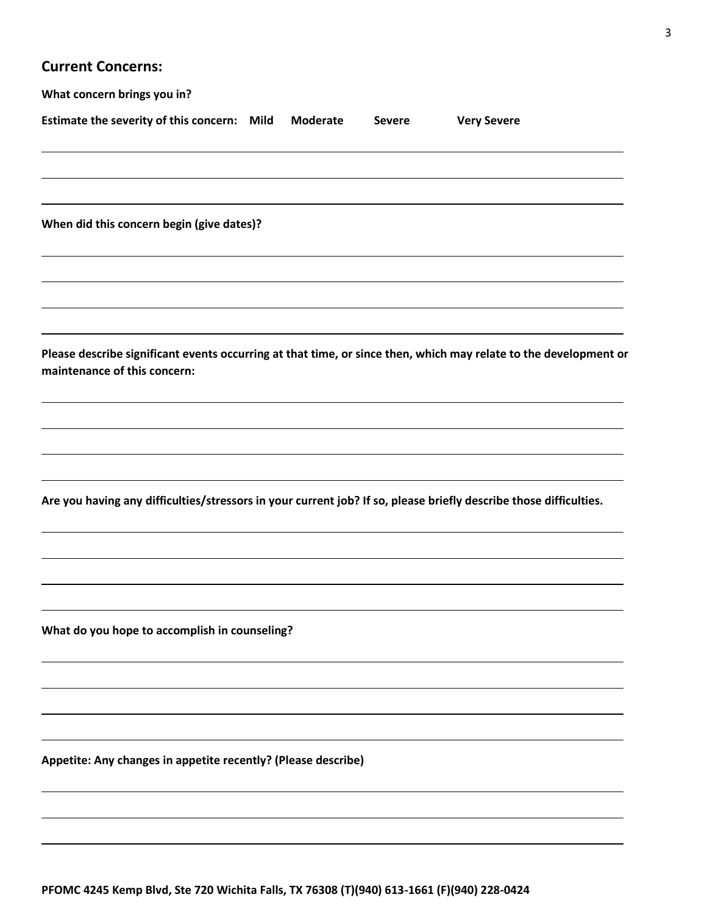## **Current Concerns:**

| What concern brings you in?                                                                                       |          |               |                    |  |
|-------------------------------------------------------------------------------------------------------------------|----------|---------------|--------------------|--|
| Estimate the severity of this concern: Mild                                                                       | Moderate | <b>Severe</b> | <b>Very Severe</b> |  |
| When did this concern begin (give dates)?                                                                         |          |               |                    |  |
|                                                                                                                   |          |               |                    |  |
| Please describe significant events occurring at that time, or since then, which may relate to the development or  |          |               |                    |  |
| maintenance of this concern:                                                                                      |          |               |                    |  |
|                                                                                                                   |          |               |                    |  |
| Are you having any difficulties/stressors in your current job? If so, please briefly describe those difficulties. |          |               |                    |  |
|                                                                                                                   |          |               |                    |  |
| What do you hope to accomplish in counseling?                                                                     |          |               |                    |  |
|                                                                                                                   |          |               |                    |  |
| Appetite: Any changes in appetite recently? (Please describe)                                                     |          |               |                    |  |
|                                                                                                                   |          |               |                    |  |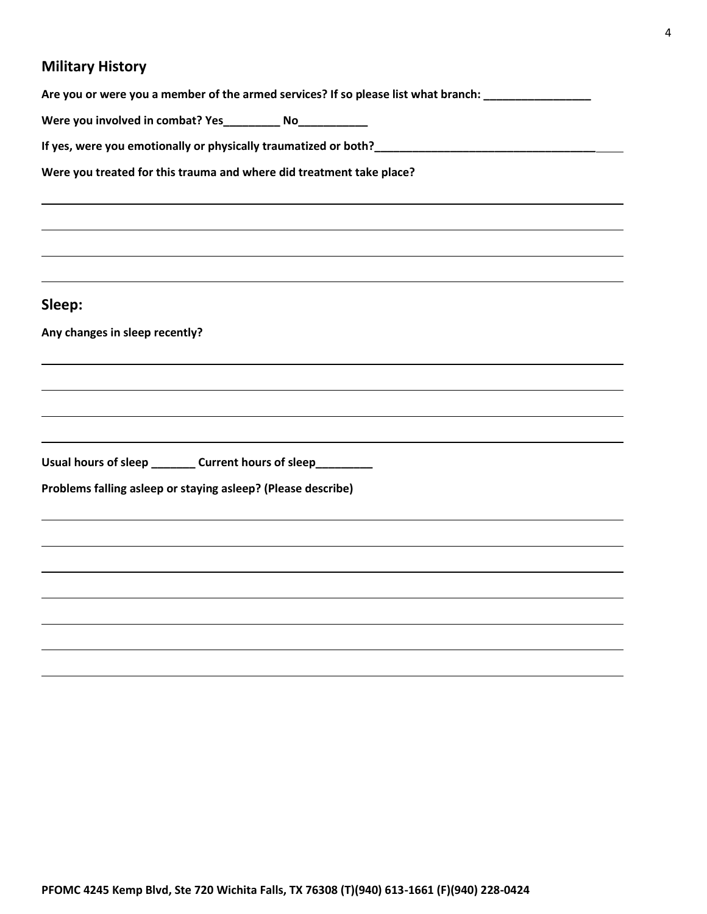# **Military History**

| Are you or were you a member of the armed services? If so please list what branch: _______________ |
|----------------------------------------------------------------------------------------------------|
| Were you involved in combat? Yes__________ No___________                                           |
|                                                                                                    |
| Were you treated for this trauma and where did treatment take place?                               |
|                                                                                                    |
| Sleep:                                                                                             |
| Any changes in sleep recently?                                                                     |
|                                                                                                    |
|                                                                                                    |
|                                                                                                    |
| Usual hours of sleep _________ Current hours of sleep_________                                     |
| Problems falling asleep or staying asleep? (Please describe)                                       |
|                                                                                                    |
|                                                                                                    |
|                                                                                                    |
|                                                                                                    |
|                                                                                                    |
|                                                                                                    |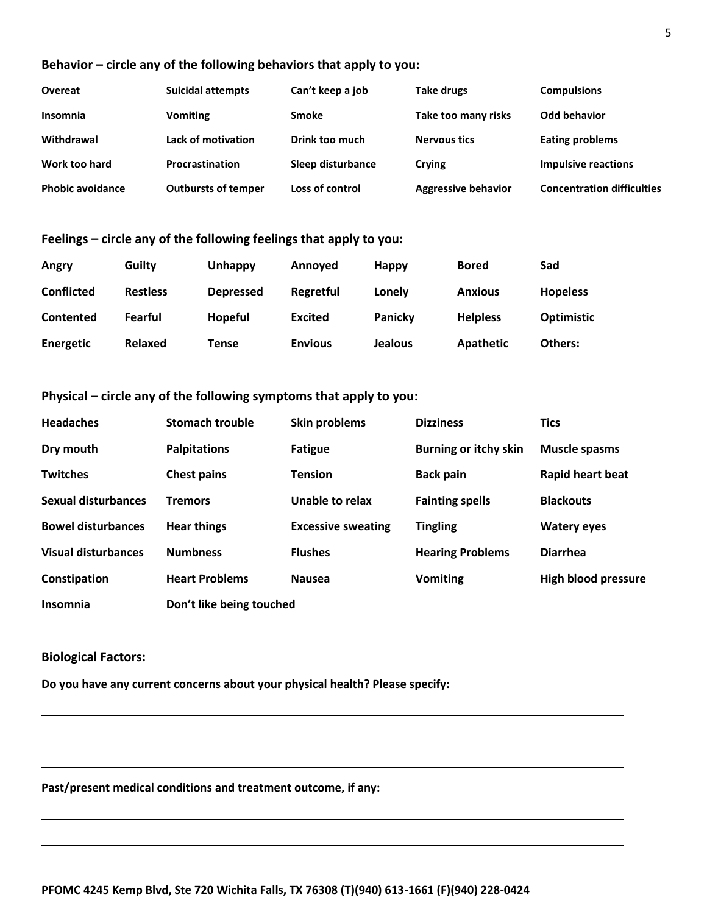#### **Behavior – circle any of the following behaviors that apply to you:**

| <b>Overeat</b>          | <b>Suicidal attempts</b>   | Can't keep a job  | Take drugs                 | <b>Compulsions</b>                |
|-------------------------|----------------------------|-------------------|----------------------------|-----------------------------------|
| Insomnia                | <b>Vomiting</b>            | Smoke             | Take too many risks        | Odd behavior                      |
| Withdrawal              | Lack of motivation         | Drink too much    | <b>Nervous tics</b>        | <b>Eating problems</b>            |
| Work too hard           | <b>Procrastination</b>     | Sleep disturbance | Crying                     | <b>Impulsive reactions</b>        |
| <b>Phobic avoidance</b> | <b>Outbursts of temper</b> | Loss of control   | <b>Aggressive behavior</b> | <b>Concentration difficulties</b> |

#### **Feelings – circle any of the following feelings that apply to you:**

| Angry             | Guilty          | Unhappy          | Annoved        | <b>Happy</b>   | <b>Bored</b>    | Sad               |
|-------------------|-----------------|------------------|----------------|----------------|-----------------|-------------------|
| <b>Conflicted</b> | <b>Restless</b> | <b>Depressed</b> | Regretful      | Lonely         | <b>Anxious</b>  | <b>Hopeless</b>   |
| <b>Contented</b>  | Fearful         | <b>Hopeful</b>   | <b>Excited</b> | Panicky        | <b>Helpless</b> | <b>Optimistic</b> |
| Energetic         | Relaxed         | Tense            | <b>Envious</b> | <b>Jealous</b> | Apathetic       | Others:           |

#### **Physical – circle any of the following symptoms that apply to you:**

| <b>Headaches</b>           | <b>Stomach trouble</b>   | Skin problems             | <b>Dizziness</b>             | <b>Tics</b>                |
|----------------------------|--------------------------|---------------------------|------------------------------|----------------------------|
| Dry mouth                  | <b>Palpitations</b>      | <b>Fatigue</b>            | <b>Burning or itchy skin</b> | <b>Muscle spasms</b>       |
| <b>Twitches</b>            | <b>Chest pains</b>       | <b>Tension</b>            | <b>Back pain</b>             | Rapid heart beat           |
| <b>Sexual disturbances</b> | <b>Tremors</b>           | Unable to relax           | <b>Fainting spells</b>       | <b>Blackouts</b>           |
| <b>Bowel disturbances</b>  | <b>Hear things</b>       | <b>Excessive sweating</b> | <b>Tingling</b>              | <b>Watery eyes</b>         |
| <b>Visual disturbances</b> | <b>Numbness</b>          | <b>Flushes</b>            | <b>Hearing Problems</b>      | <b>Diarrhea</b>            |
| Constipation               | <b>Heart Problems</b>    | <b>Nausea</b>             | <b>Vomiting</b>              | <b>High blood pressure</b> |
| Insomnia                   | Don't like being touched |                           |                              |                            |

#### **Biological Factors:**

**Do you have any current concerns about your physical health? Please specify:** 

**Past/present medical conditions and treatment outcome, if any:**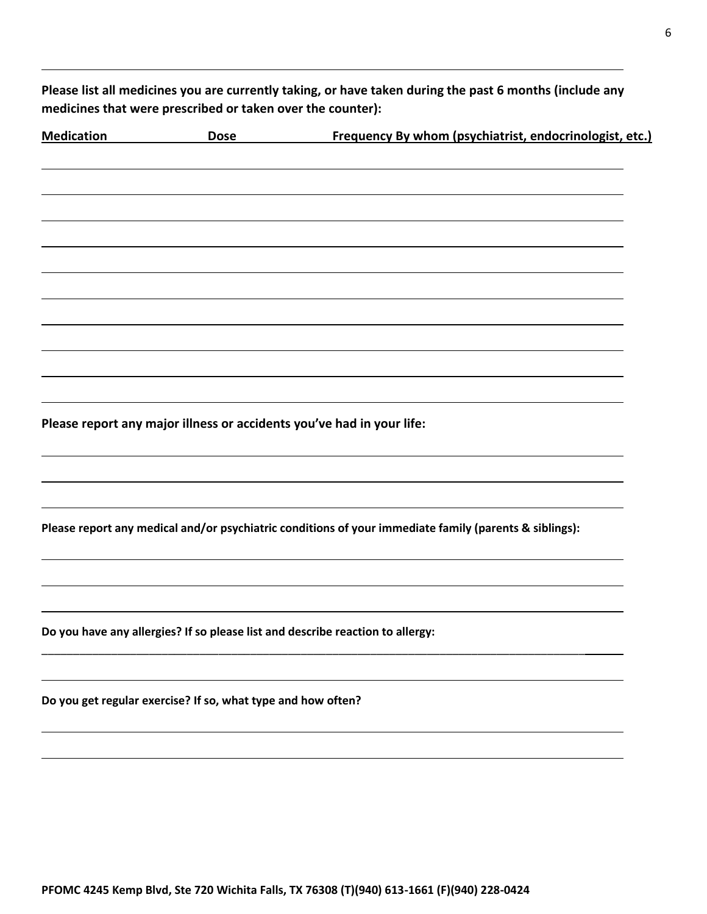**Please list all medicines you are currently taking, or have taken during the past 6 months (include any medicines that were prescribed or taken over the counter):** 

| <b>Medication</b> | <b>Dose</b>                                                  | Frequency By whom (psychiatrist, endocrinologist, etc.)                                                |
|-------------------|--------------------------------------------------------------|--------------------------------------------------------------------------------------------------------|
|                   |                                                              |                                                                                                        |
|                   |                                                              |                                                                                                        |
|                   |                                                              |                                                                                                        |
|                   |                                                              |                                                                                                        |
|                   |                                                              |                                                                                                        |
|                   |                                                              |                                                                                                        |
|                   |                                                              |                                                                                                        |
|                   |                                                              | Please report any major illness or accidents you've had in your life:                                  |
|                   |                                                              |                                                                                                        |
|                   |                                                              |                                                                                                        |
|                   |                                                              | Please report any medical and/or psychiatric conditions of your immediate family (parents & siblings): |
|                   |                                                              |                                                                                                        |
|                   |                                                              | Do you have any allergies? If so please list and describe reaction to allergy:                         |
|                   |                                                              |                                                                                                        |
|                   | Do you get regular exercise? If so, what type and how often? |                                                                                                        |
|                   |                                                              |                                                                                                        |
|                   |                                                              |                                                                                                        |
|                   |                                                              |                                                                                                        |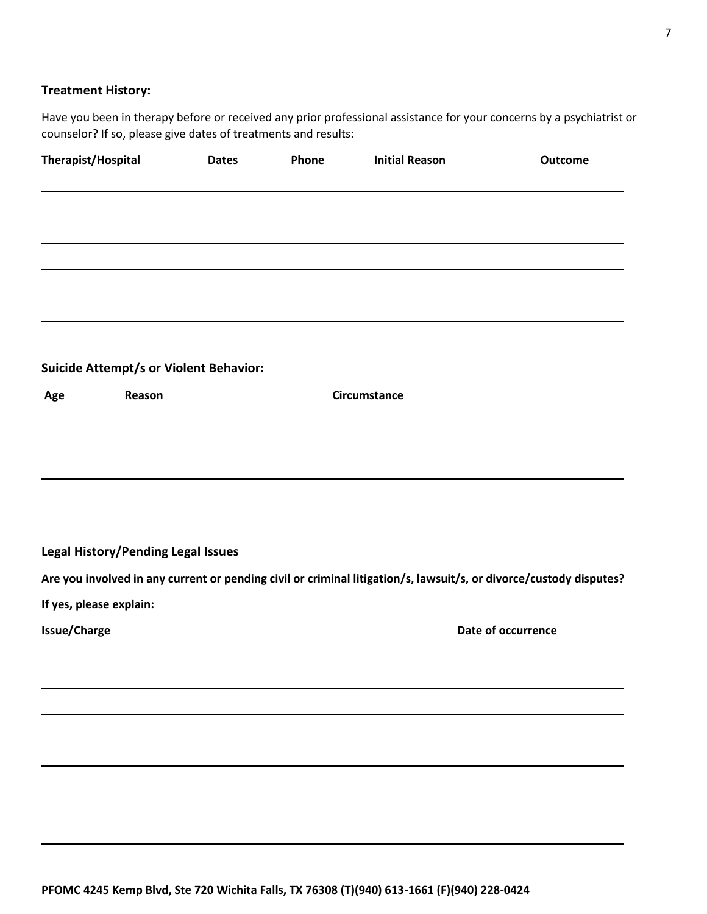#### **Treatment History:**

Have you been in therapy before or received any prior professional assistance for your concerns by a psychiatrist or counselor? If so, please give dates of treatments and results:

| Therapist/Hospital                            | <b>Dates</b> | Phone | <b>Initial Reason</b> | Outcome                                                                                                            |
|-----------------------------------------------|--------------|-------|-----------------------|--------------------------------------------------------------------------------------------------------------------|
|                                               |              |       |                       |                                                                                                                    |
|                                               |              |       |                       |                                                                                                                    |
|                                               |              |       |                       |                                                                                                                    |
|                                               |              |       |                       |                                                                                                                    |
| <b>Suicide Attempt/s or Violent Behavior:</b> |              |       |                       |                                                                                                                    |
| Reason<br>Age                                 |              |       | <b>Circumstance</b>   |                                                                                                                    |
|                                               |              |       |                       |                                                                                                                    |
|                                               |              |       |                       |                                                                                                                    |
|                                               |              |       |                       |                                                                                                                    |
| Legal History/Pending Legal Issues            |              |       |                       |                                                                                                                    |
|                                               |              |       |                       | Are you involved in any current or pending civil or criminal litigation/s, lawsuit/s, or divorce/custody disputes? |
| If yes, please explain:                       |              |       |                       |                                                                                                                    |
| <b>Issue/Charge</b>                           |              |       |                       | Date of occurrence                                                                                                 |
|                                               |              |       |                       |                                                                                                                    |
|                                               |              |       |                       |                                                                                                                    |
|                                               |              |       |                       |                                                                                                                    |
|                                               |              |       |                       |                                                                                                                    |
|                                               |              |       |                       |                                                                                                                    |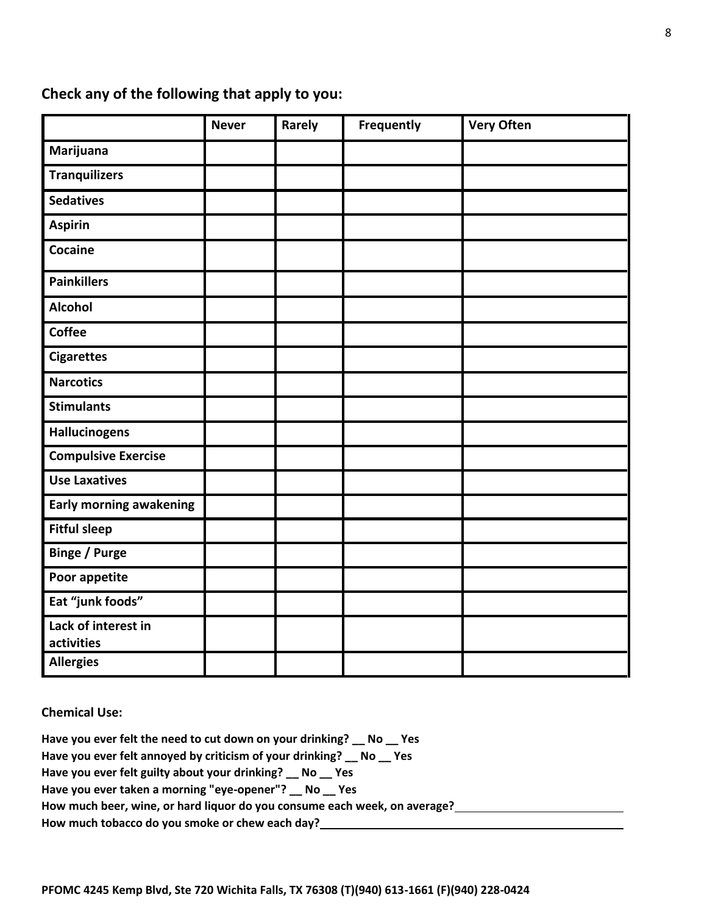### **Check any of the following that apply to you:**

|                                   | <b>Never</b> | Rarely | Frequently | <b>Very Often</b> |
|-----------------------------------|--------------|--------|------------|-------------------|
| Marijuana                         |              |        |            |                   |
| <b>Tranquilizers</b>              |              |        |            |                   |
| <b>Sedatives</b>                  |              |        |            |                   |
| <b>Aspirin</b>                    |              |        |            |                   |
| Cocaine                           |              |        |            |                   |
| <b>Painkillers</b>                |              |        |            |                   |
| <b>Alcohol</b>                    |              |        |            |                   |
| <b>Coffee</b>                     |              |        |            |                   |
| <b>Cigarettes</b>                 |              |        |            |                   |
| <b>Narcotics</b>                  |              |        |            |                   |
| <b>Stimulants</b>                 |              |        |            |                   |
| <b>Hallucinogens</b>              |              |        |            |                   |
| <b>Compulsive Exercise</b>        |              |        |            |                   |
| <b>Use Laxatives</b>              |              |        |            |                   |
| <b>Early morning awakening</b>    |              |        |            |                   |
| <b>Fitful sleep</b>               |              |        |            |                   |
| <b>Binge / Purge</b>              |              |        |            |                   |
| Poor appetite                     |              |        |            |                   |
| Eat "junk foods"                  |              |        |            |                   |
| Lack of interest in<br>activities |              |        |            |                   |
| <b>Allergies</b>                  |              |        |            |                   |

**Chemical Use:**

**Have you ever felt the need to cut down on your drinking? \_\_ No \_\_ Yes Have you ever felt annoyed by criticism of your drinking? \_\_ No \_\_ Yes Have you ever felt guilty about your drinking? \_\_ No \_\_ Yes Have you ever taken a morning "eye-opener"? \_\_ No \_\_ Yes How much beer, wine, or hard liquor do you consume each week, on average? How much tobacco do you smoke or chew each day?**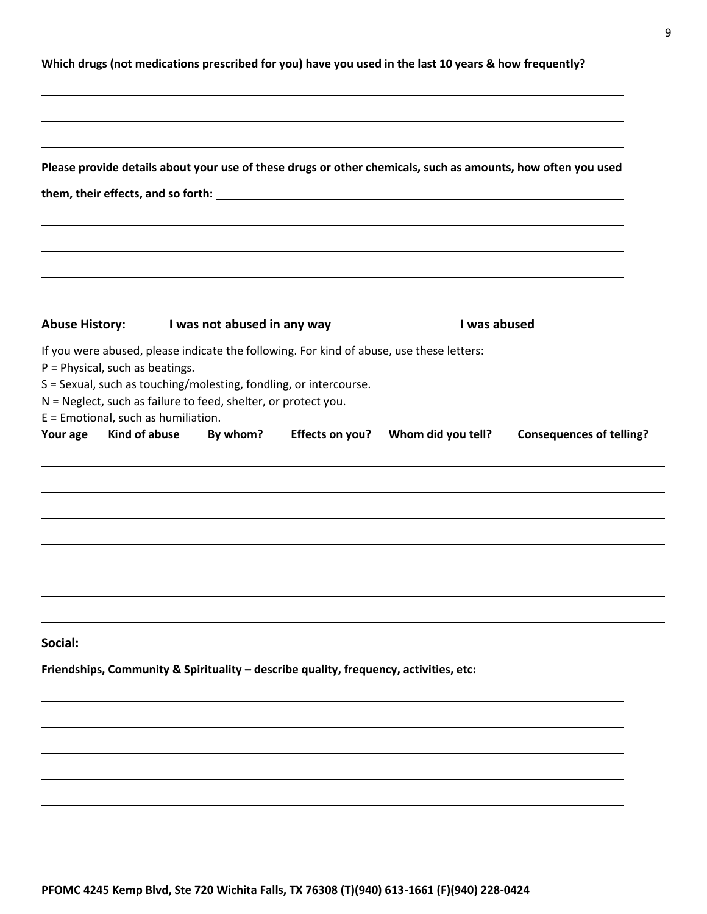|  |  | Which drugs (not medications prescribed for you) have you used in the last 10 years & how frequently? |
|--|--|-------------------------------------------------------------------------------------------------------|
|--|--|-------------------------------------------------------------------------------------------------------|

|                                                                                                     | them, their effects, and so forth: University of the control of the control of the control of the control of the control of the control of the control of the control of the control of the control of the control of the cont              |                 | Please provide details about your use of these drugs or other chemicals, such as amounts, how often you used |                                 |
|-----------------------------------------------------------------------------------------------------|---------------------------------------------------------------------------------------------------------------------------------------------------------------------------------------------------------------------------------------------|-----------------|--------------------------------------------------------------------------------------------------------------|---------------------------------|
| <b>Abuse History:</b>                                                                               | I was not abused in any way                                                                                                                                                                                                                 |                 | I was abused                                                                                                 |                                 |
| P = Physical, such as beatings.<br>E = Emotional, such as humiliation.<br>Kind of abuse<br>Your age | If you were abused, please indicate the following. For kind of abuse, use these letters:<br>S = Sexual, such as touching/molesting, fondling, or intercourse.<br>N = Neglect, such as failure to feed, shelter, or protect you.<br>By whom? | Effects on you? | Whom did you tell?                                                                                           | <b>Consequences of telling?</b> |
|                                                                                                     |                                                                                                                                                                                                                                             |                 |                                                                                                              |                                 |
|                                                                                                     |                                                                                                                                                                                                                                             |                 |                                                                                                              |                                 |
|                                                                                                     |                                                                                                                                                                                                                                             |                 |                                                                                                              |                                 |
| Social:                                                                                             |                                                                                                                                                                                                                                             |                 |                                                                                                              |                                 |
|                                                                                                     | Friendships, Community & Spirituality - describe quality, frequency, activities, etc:                                                                                                                                                       |                 |                                                                                                              |                                 |
|                                                                                                     |                                                                                                                                                                                                                                             |                 |                                                                                                              |                                 |